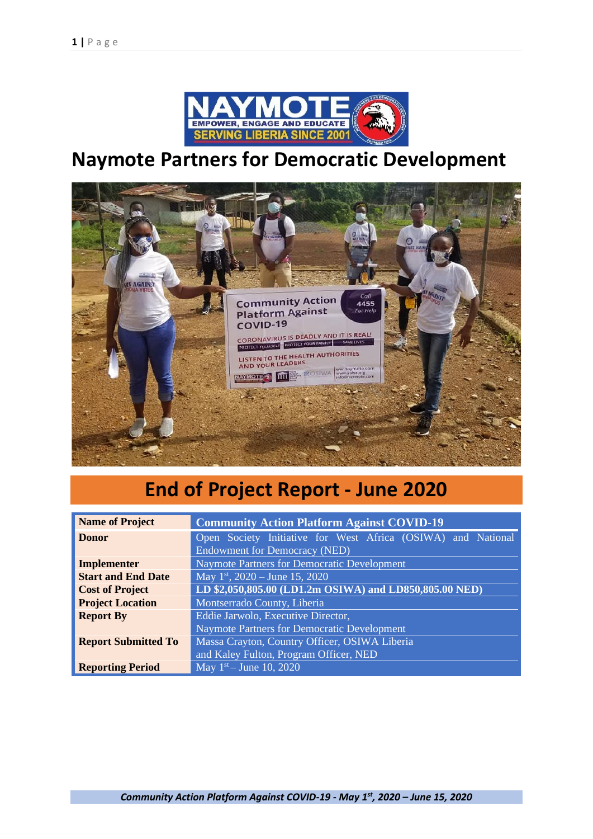

# **Naymote Partners for Democratic Development**



# **End of Project Report - June 2020**

| <b>Name of Project</b>     | <b>Community Action Platform Against COVID-19</b>            |  |  |  |  |  |
|----------------------------|--------------------------------------------------------------|--|--|--|--|--|
| <b>Donor</b>               | Open Society Initiative for West Africa (OSIWA) and National |  |  |  |  |  |
|                            | <b>Endowment for Democracy (NED)</b>                         |  |  |  |  |  |
| Implementer                | Naymote Partners for Democratic Development                  |  |  |  |  |  |
| <b>Start and End Date</b>  | May 1st, $2020 -$ June 15, 2020                              |  |  |  |  |  |
| <b>Cost of Project</b>     | LD \$2,050,805.00 (LD1.2m OSIWA) and LD850,805.00 NED)       |  |  |  |  |  |
| <b>Project Location</b>    | Montserrado County, Liberia                                  |  |  |  |  |  |
| <b>Report By</b>           | Eddie Jarwolo, Executive Director,                           |  |  |  |  |  |
|                            | Naymote Partners for Democratic Development                  |  |  |  |  |  |
| <b>Report Submitted To</b> | Massa Crayton, Country Officer, OSIWA Liberia                |  |  |  |  |  |
|                            | and Kaley Fulton, Program Officer, NED                       |  |  |  |  |  |
| <b>Reporting Period</b>    | May $1st - June 10, 2020$                                    |  |  |  |  |  |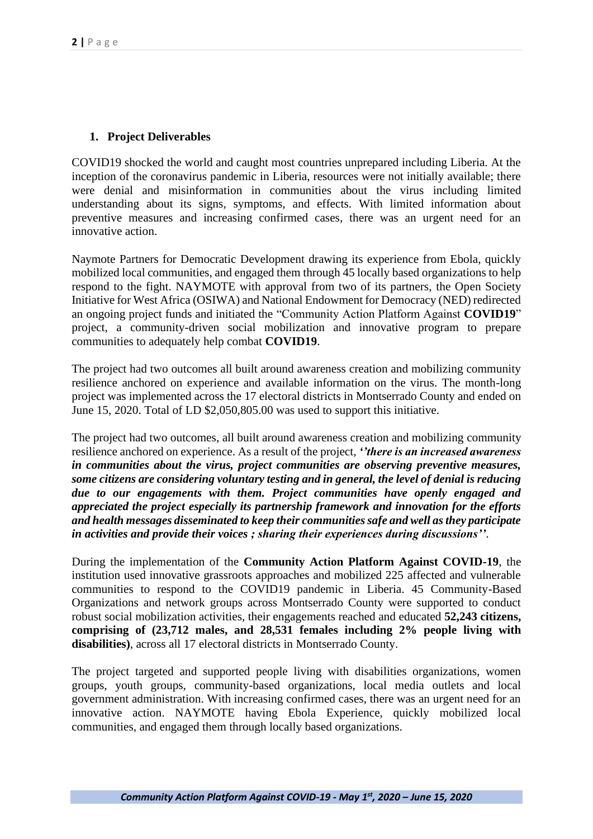## **1. Project Deliverables**

COVID19 shocked the world and caught most countries unprepared including Liberia. At the inception of the coronavirus pandemic in Liberia, resources were not initially available; there were denial and misinformation in communities about the virus including limited understanding about its signs, symptoms, and effects. With limited information about preventive measures and increasing confirmed cases, there was an urgent need for an innovative action.

Naymote Partners for Democratic Development drawing its experience from Ebola, quickly mobilized local communities, and engaged them through 45 locally based organizations to help respond to the fight. NAYMOTE with approval from two of its partners, the Open Society Initiative for West Africa (OSIWA) and National Endowment for Democracy (NED) redirected an ongoing project funds and initiated the "Community Action Platform Against **COVID19**" project, a community-driven social mobilization and innovative program to prepare communities to adequately help combat **COVID19**.

The project had two outcomes all built around awareness creation and mobilizing community resilience anchored on experience and available information on the virus. The month-long project was implemented across the 17 electoral districts in Montserrado County and ended on June 15, 2020. Total of LD \$2,050,805.00 was used to support this initiative.

The project had two outcomes, all built around awareness creation and mobilizing community resilience anchored on experience. As a result of the project, *''there is an increased awareness in communities about the virus, project communities are observing preventive measures, some citizens are considering voluntary testing and in general, the level of denial is reducing due to our engagements with them. Project communities have openly engaged and appreciated the project especially its partnership framework and innovation for the efforts and health messages disseminated to keep their communities safe and well as they participate in activities and provide their voices ; sharing their experiences during discussions''*.

During the implementation of the **Community Action Platform Against COVID-19**, the institution used innovative grassroots approaches and mobilized 225 affected and vulnerable communities to respond to the COVID19 pandemic in Liberia. 45 Community-Based Organizations and network groups across Montserrado County were supported to conduct robust social mobilization activities, their engagements reached and educated **52,243 citizens, comprising of (23,712 males, and 28,531 females including 2% people living with disabilities)**, across all 17 electoral districts in Montserrado County.

The project targeted and supported people living with disabilities organizations, women groups, youth groups, community-based organizations, local media outlets and local government administration. With increasing confirmed cases, there was an urgent need for an innovative action. NAYMOTE having Ebola Experience, quickly mobilized local communities, and engaged them through locally based organizations.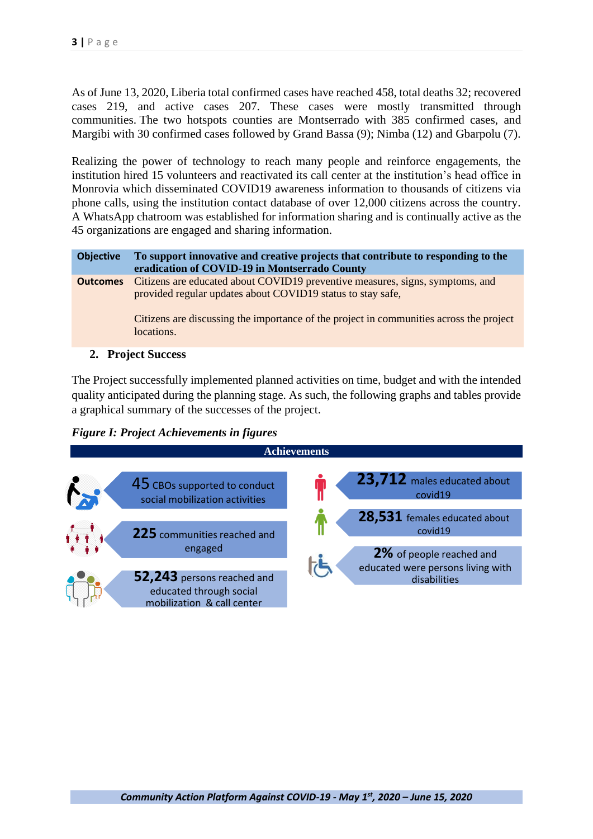As of June 13, 2020, Liberia total confirmed cases have reached 458, total deaths 32; recovered cases 219, and active cases 207. These cases were mostly transmitted through communities. The two hotspots counties are Montserrado with 385 confirmed cases, and Margibi with 30 confirmed cases followed by Grand Bassa (9); Nimba (12) and Gbarpolu (7).

Realizing the power of technology to reach many people and reinforce engagements, the institution hired 15 volunteers and reactivated its call center at the institution's head office in Monrovia which disseminated COVID19 awareness information to thousands of citizens via phone calls, using the institution contact database of over 12,000 citizens across the country. A WhatsApp chatroom was established for information sharing and is continually active as the 45 organizations are engaged and sharing information.

**Objective To support innovative and creative projects that contribute to responding to the eradication of COVID-19 in Montserrado County Outcomes** Citizens are educated about COVID19 preventive measures, signs, symptoms, and provided regular updates about COVID19 status to stay safe, Citizens are discussing the importance of the project in communities across the project locations.

**2. Project Success** 

The Project successfully implemented planned activities on time, budget and with the intended quality anticipated during the planning stage. As such, the following graphs and tables provide a graphical summary of the successes of the project.

*Figure I: Project Achievements in figures* 

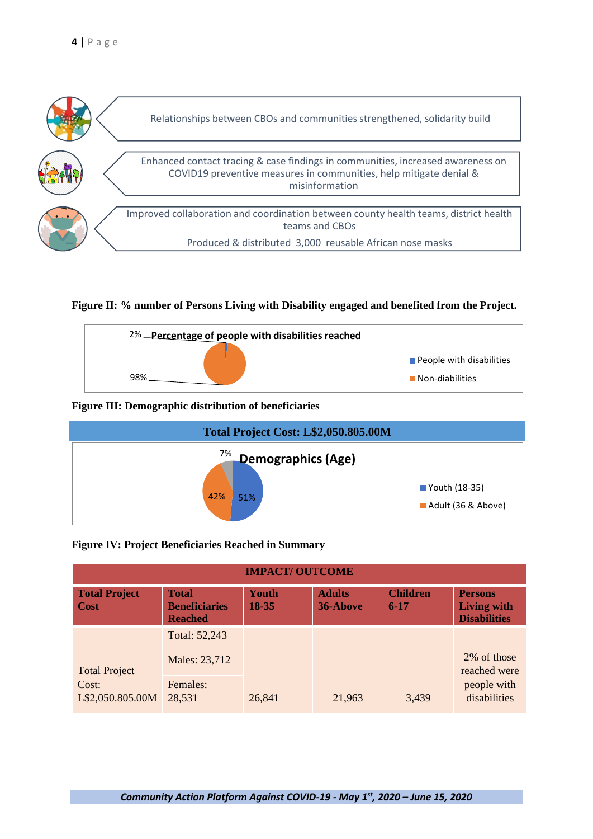

## **Figure II: % number of Persons Living with Disability engaged and benefited from the Project.**



## **Figure III: Demographic distribution of beneficiaries**



#### **Figure IV: Project Beneficiaries Reached in Summary**

| <b>IMPACT/ OUTCOME</b>                            |                                                        |                |                           |                             |                                                             |  |  |
|---------------------------------------------------|--------------------------------------------------------|----------------|---------------------------|-----------------------------|-------------------------------------------------------------|--|--|
| <b>Total Project</b><br>Cost                      | <b>Total</b><br><b>Beneficiaries</b><br><b>Reached</b> | Youth<br>18-35 | <b>Adults</b><br>36-Above | <b>Children</b><br>$6 - 17$ | <b>Persons</b><br><b>Living with</b><br><b>Disabilities</b> |  |  |
| <b>Total Project</b><br>Cost:<br>L\$2,050.805.00M | Total: 52,243                                          |                |                           |                             |                                                             |  |  |
|                                                   | Males: 23,712                                          |                | 21,963                    | 3,439                       | 2\% of those<br>reached were<br>people with<br>disabilities |  |  |
|                                                   | Females:<br>28,531                                     | 26,841         |                           |                             |                                                             |  |  |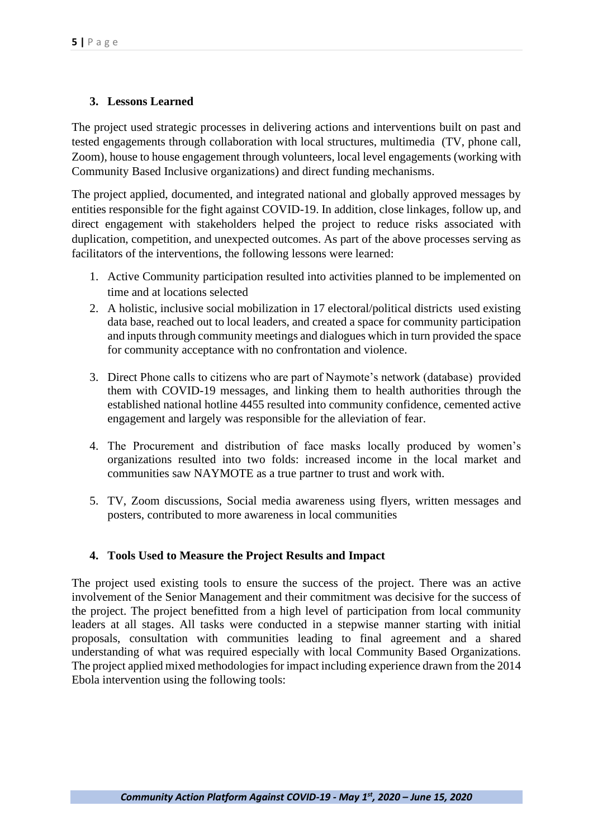# **3. Lessons Learned**

The project used strategic processes in delivering actions and interventions built on past and tested engagements through collaboration with local structures, multimedia (TV, phone call, Zoom), house to house engagement through volunteers, local level engagements (working with Community Based Inclusive organizations) and direct funding mechanisms.

The project applied, documented, and integrated national and globally approved messages by entities responsible for the fight against COVID-19. In addition, close linkages, follow up, and direct engagement with stakeholders helped the project to reduce risks associated with duplication, competition, and unexpected outcomes. As part of the above processes serving as facilitators of the interventions, the following lessons were learned:

- 1. Active Community participation resulted into activities planned to be implemented on time and at locations selected
- 2. A holistic, inclusive social mobilization in 17 electoral/political districts used existing data base, reached out to local leaders, and created a space for community participation and inputs through community meetings and dialogues which in turn provided the space for community acceptance with no confrontation and violence.
- 3. Direct Phone calls to citizens who are part of Naymote's network (database) provided them with COVID-19 messages, and linking them to health authorities through the established national hotline 4455 resulted into community confidence, cemented active engagement and largely was responsible for the alleviation of fear.
- 4. The Procurement and distribution of face masks locally produced by women's organizations resulted into two folds: increased income in the local market and communities saw NAYMOTE as a true partner to trust and work with.
- 5. TV, Zoom discussions, Social media awareness using flyers, written messages and posters, contributed to more awareness in local communities

# **4. Tools Used to Measure the Project Results and Impact**

The project used existing tools to ensure the success of the project. There was an active involvement of the Senior Management and their commitment was decisive for the success of the project. The project benefitted from a high level of participation from local community leaders at all stages. All tasks were conducted in a stepwise manner starting with initial proposals, consultation with communities leading to final agreement and a shared understanding of what was required especially with local Community Based Organizations. The project applied mixed methodologies for impact including experience drawn from the 2014 Ebola intervention using the following tools: